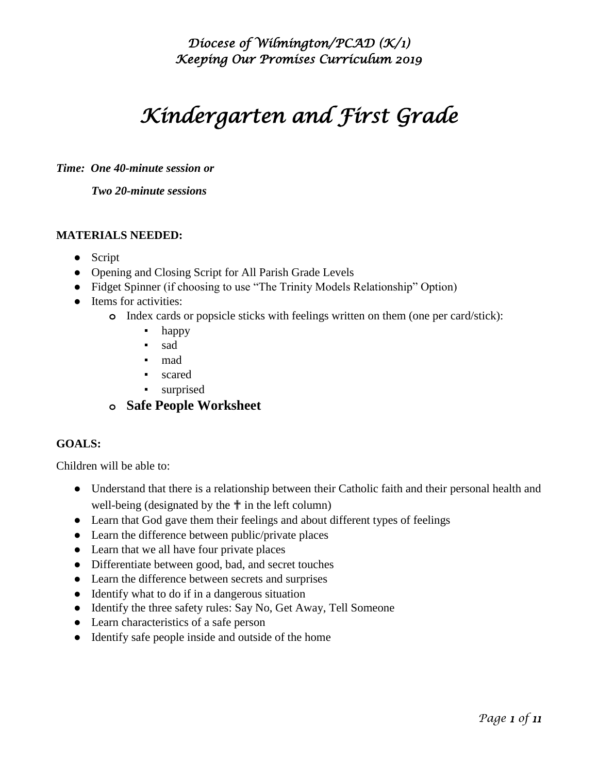# *Kindergarten and First Grade*

*Time: One 40-minute session or*

*Two 20-minute sessions* 

#### **MATERIALS NEEDED:**

- Script
- Opening and Closing Script for All Parish Grade Levels
- Fidget Spinner (if choosing to use "The Trinity Models Relationship" Option)
- Items for activities:
	- **o** Index cards or popsicle sticks with feelings written on them (one per card/stick):
		- happy
		- sad
		- mad
		- scared
		- surprised
	- **o Safe People Worksheet**

#### **GOALS:**

Children will be able to:

- Understand that there is a relationship between their Catholic faith and their personal health and well-being (designated by the  $\uparrow$  in the left column)
- Learn that God gave them their feelings and about different types of feelings
- Learn the difference between public/private places
- Learn that we all have four private places
- Differentiate between good, bad, and secret touches
- Learn the difference between secrets and surprises
- Identify what to do if in a dangerous situation
- Identify the three safety rules: Say No, Get Away, Tell Someone
- Learn characteristics of a safe person
- Identify safe people inside and outside of the home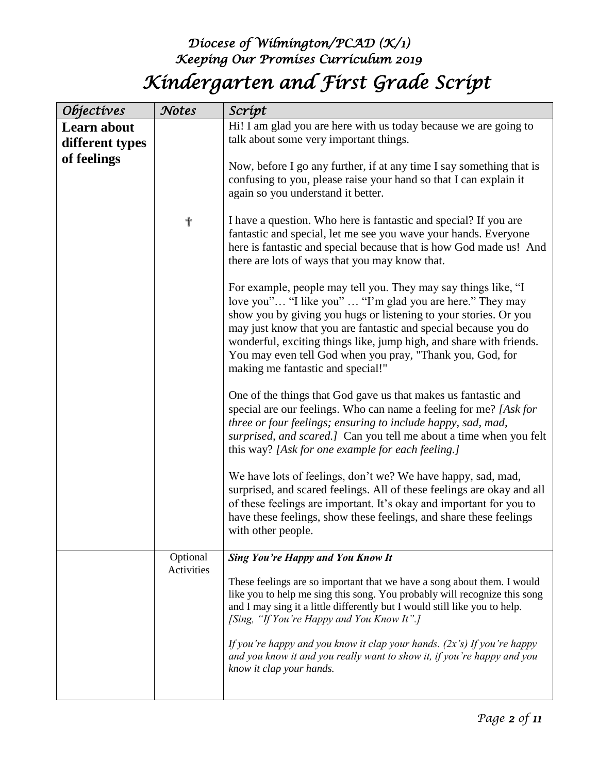## *Diocese of Wilmington/PCAD (K/1) Keeping Our Promises Curriculum 2019 Kindergarten and First Grade Script*

| <i><b>Objectives</b></i>                      | Notes                         | Scrípt                                                                                                                                                                                                                                                                                                                                                                                                                                      |
|-----------------------------------------------|-------------------------------|---------------------------------------------------------------------------------------------------------------------------------------------------------------------------------------------------------------------------------------------------------------------------------------------------------------------------------------------------------------------------------------------------------------------------------------------|
| Learn about<br>different types<br>of feelings |                               | Hi! I am glad you are here with us today because we are going to<br>talk about some very important things.                                                                                                                                                                                                                                                                                                                                  |
|                                               |                               | Now, before I go any further, if at any time I say something that is<br>confusing to you, please raise your hand so that I can explain it<br>again so you understand it better.                                                                                                                                                                                                                                                             |
|                                               | ╉                             | I have a question. Who here is fantastic and special? If you are<br>fantastic and special, let me see you wave your hands. Everyone<br>here is fantastic and special because that is how God made us! And<br>there are lots of ways that you may know that.                                                                                                                                                                                 |
|                                               |                               | For example, people may tell you. They may say things like, "I<br>love you" "I like you"  "I'm glad you are here." They may<br>show you by giving you hugs or listening to your stories. Or you<br>may just know that you are fantastic and special because you do<br>wonderful, exciting things like, jump high, and share with friends.<br>You may even tell God when you pray, "Thank you, God, for<br>making me fantastic and special!" |
|                                               |                               | One of the things that God gave us that makes us fantastic and<br>special are our feelings. Who can name a feeling for me? [Ask for<br>three or four feelings; ensuring to include happy, sad, mad,<br>surprised, and scared.] Can you tell me about a time when you felt<br>this way? [Ask for one example for each feeling.]                                                                                                              |
|                                               |                               | We have lots of feelings, don't we? We have happy, sad, mad,<br>surprised, and scared feelings. All of these feelings are okay and all<br>of these feelings are important. It's okay and important for you to<br>have these feelings, show these feelings, and share these feelings<br>with other people.                                                                                                                                   |
|                                               | Optional<br><b>Activities</b> | <b>Sing You're Happy and You Know It</b>                                                                                                                                                                                                                                                                                                                                                                                                    |
|                                               |                               | These feelings are so important that we have a song about them. I would<br>like you to help me sing this song. You probably will recognize this song<br>and I may sing it a little differently but I would still like you to help.<br>[Sing, "If You're Happy and You Know It".]                                                                                                                                                            |
|                                               |                               | If you're happy and you know it clap your hands. $(2x's)$ If you're happy<br>and you know it and you really want to show it, if you're happy and you<br>know it clap your hands.                                                                                                                                                                                                                                                            |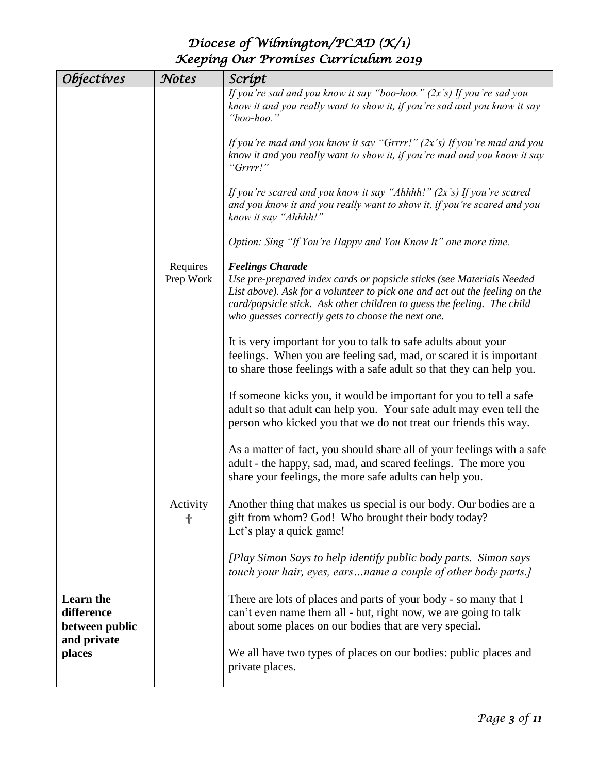| <i><b>Objectives</b></i>                                        | Notes                 | Scrípt                                                                                                                                                                                                                                                                                                           |
|-----------------------------------------------------------------|-----------------------|------------------------------------------------------------------------------------------------------------------------------------------------------------------------------------------------------------------------------------------------------------------------------------------------------------------|
|                                                                 |                       | If you're sad and you know it say "boo-hoo." $(2x's)$ If you're sad you<br>know it and you really want to show it, if you're sad and you know it say<br>"boo-hoo."                                                                                                                                               |
|                                                                 |                       | If you're mad and you know it say "Grrrr!" $(2x's)$ If you're mad and you<br>know it and you really want to show it, if you're mad and you know it say<br>"Grrrr!"                                                                                                                                               |
|                                                                 |                       | If you're scared and you know it say "Ahhhh!" $(2x's)$ If you're scared<br>and you know it and you really want to show it, if you're scared and you<br>know it say "Ahhhh!"                                                                                                                                      |
|                                                                 |                       | Option: Sing "If You're Happy and You Know It" one more time.                                                                                                                                                                                                                                                    |
|                                                                 | Requires<br>Prep Work | <b>Feelings Charade</b><br>Use pre-prepared index cards or popsicle sticks (see Materials Needed<br>List above). Ask for a volunteer to pick one and act out the feeling on the<br>card/popsicle stick. Ask other children to guess the feeling. The child<br>who guesses correctly gets to choose the next one. |
|                                                                 |                       | It is very important for you to talk to safe adults about your<br>feelings. When you are feeling sad, mad, or scared it is important<br>to share those feelings with a safe adult so that they can help you.                                                                                                     |
|                                                                 |                       | If someone kicks you, it would be important for you to tell a safe<br>adult so that adult can help you. Your safe adult may even tell the<br>person who kicked you that we do not treat our friends this way.                                                                                                    |
|                                                                 |                       | As a matter of fact, you should share all of your feelings with a safe<br>adult - the happy, sad, mad, and scared feelings. The more you<br>share your feelings, the more safe adults can help you.                                                                                                              |
|                                                                 | Activity<br>╋         | Another thing that makes us special is our body. Our bodies are a<br>gift from whom? God! Who brought their body today?<br>Let's play a quick game!                                                                                                                                                              |
|                                                                 |                       | [Play Simon Says to help identify public body parts. Simon says<br>touch your hair, eyes, earsname a couple of other body parts.]                                                                                                                                                                                |
| <b>Learn</b> the<br>difference<br>between public<br>and private |                       | There are lots of places and parts of your body - so many that I<br>can't even name them all - but, right now, we are going to talk<br>about some places on our bodies that are very special.                                                                                                                    |
| places                                                          |                       | We all have two types of places on our bodies: public places and<br>private places.                                                                                                                                                                                                                              |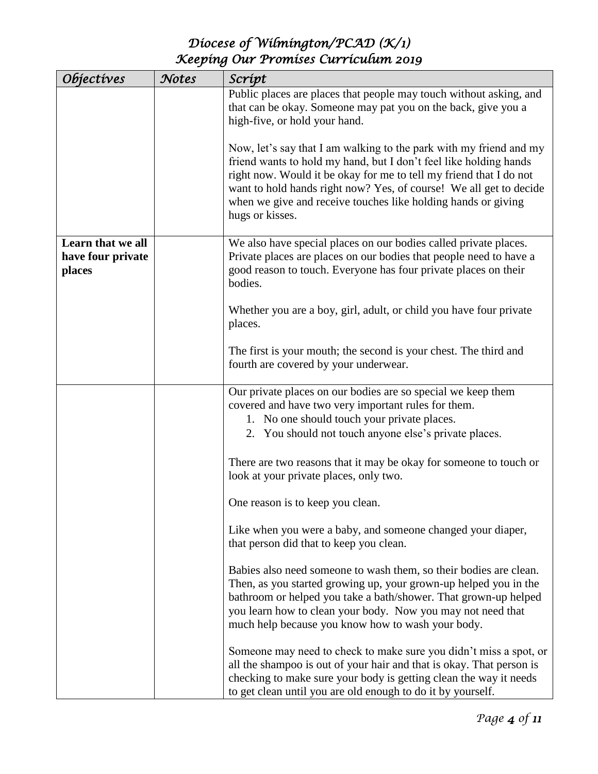| <i><b>Objectives</b></i>                         | Notes | Scrípt                                                                                                                                                                                                                                                                                                                                                                  |
|--------------------------------------------------|-------|-------------------------------------------------------------------------------------------------------------------------------------------------------------------------------------------------------------------------------------------------------------------------------------------------------------------------------------------------------------------------|
|                                                  |       | Public places are places that people may touch without asking, and<br>that can be okay. Someone may pat you on the back, give you a<br>high-five, or hold your hand.                                                                                                                                                                                                    |
|                                                  |       | Now, let's say that I am walking to the park with my friend and my<br>friend wants to hold my hand, but I don't feel like holding hands<br>right now. Would it be okay for me to tell my friend that I do not<br>want to hold hands right now? Yes, of course! We all get to decide<br>when we give and receive touches like holding hands or giving<br>hugs or kisses. |
| Learn that we all<br>have four private<br>places |       | We also have special places on our bodies called private places.<br>Private places are places on our bodies that people need to have a<br>good reason to touch. Everyone has four private places on their<br>bodies.                                                                                                                                                    |
|                                                  |       | Whether you are a boy, girl, adult, or child you have four private<br>places.                                                                                                                                                                                                                                                                                           |
|                                                  |       | The first is your mouth; the second is your chest. The third and<br>fourth are covered by your underwear.                                                                                                                                                                                                                                                               |
|                                                  |       | Our private places on our bodies are so special we keep them<br>covered and have two very important rules for them.<br>1. No one should touch your private places.<br>2. You should not touch anyone else's private places.                                                                                                                                             |
|                                                  |       | There are two reasons that it may be okay for someone to touch or<br>look at your private places, only two.                                                                                                                                                                                                                                                             |
|                                                  |       | One reason is to keep you clean.                                                                                                                                                                                                                                                                                                                                        |
|                                                  |       | Like when you were a baby, and someone changed your diaper,<br>that person did that to keep you clean.                                                                                                                                                                                                                                                                  |
|                                                  |       | Babies also need someone to wash them, so their bodies are clean.<br>Then, as you started growing up, your grown-up helped you in the<br>bathroom or helped you take a bath/shower. That grown-up helped<br>you learn how to clean your body. Now you may not need that<br>much help because you know how to wash your body.                                            |
|                                                  |       | Someone may need to check to make sure you didn't miss a spot, or<br>all the shampoo is out of your hair and that is okay. That person is<br>checking to make sure your body is getting clean the way it needs<br>to get clean until you are old enough to do it by yourself.                                                                                           |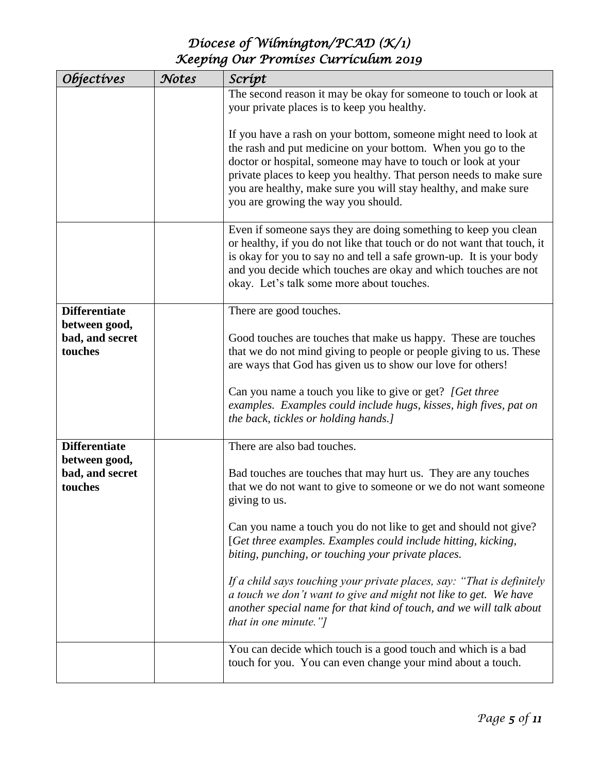| Objectives                 | Notes | Scrípt                                                                                                                                                                                                                                                                                                                                                                            |
|----------------------------|-------|-----------------------------------------------------------------------------------------------------------------------------------------------------------------------------------------------------------------------------------------------------------------------------------------------------------------------------------------------------------------------------------|
|                            |       | The second reason it may be okay for someone to touch or look at<br>your private places is to keep you healthy.                                                                                                                                                                                                                                                                   |
|                            |       | If you have a rash on your bottom, someone might need to look at<br>the rash and put medicine on your bottom. When you go to the<br>doctor or hospital, someone may have to touch or look at your<br>private places to keep you healthy. That person needs to make sure<br>you are healthy, make sure you will stay healthy, and make sure<br>you are growing the way you should. |
|                            |       | Even if someone says they are doing something to keep you clean<br>or healthy, if you do not like that touch or do not want that touch, it<br>is okay for you to say no and tell a safe grown-up. It is your body<br>and you decide which touches are okay and which touches are not<br>okay. Let's talk some more about touches.                                                 |
| <b>Differentiate</b>       |       | There are good touches.                                                                                                                                                                                                                                                                                                                                                           |
| between good,              |       |                                                                                                                                                                                                                                                                                                                                                                                   |
| bad, and secret<br>touches |       | Good touches are touches that make us happy. These are touches<br>that we do not mind giving to people or people giving to us. These<br>are ways that God has given us to show our love for others!                                                                                                                                                                               |
|                            |       | Can you name a touch you like to give or get? [Get three<br>examples. Examples could include hugs, kisses, high fives, pat on<br>the back, tickles or holding hands.]                                                                                                                                                                                                             |
| <b>Differentiate</b>       |       | There are also bad touches.                                                                                                                                                                                                                                                                                                                                                       |
| between good,              |       |                                                                                                                                                                                                                                                                                                                                                                                   |
| bad, and secret<br>touches |       | Bad touches are touches that may hurt us. They are any touches<br>that we do not want to give to someone or we do not want someone<br>giving to us.                                                                                                                                                                                                                               |
|                            |       | Can you name a touch you do not like to get and should not give?<br>[Get three examples. Examples could include hitting, kicking,<br>biting, punching, or touching your private places.                                                                                                                                                                                           |
|                            |       | If a child says touching your private places, say: "That is definitely<br>a touch we don't want to give and might not like to get. We have<br>another special name for that kind of touch, and we will talk about<br>that in one minute."]                                                                                                                                        |
|                            |       | You can decide which touch is a good touch and which is a bad<br>touch for you. You can even change your mind about a touch.                                                                                                                                                                                                                                                      |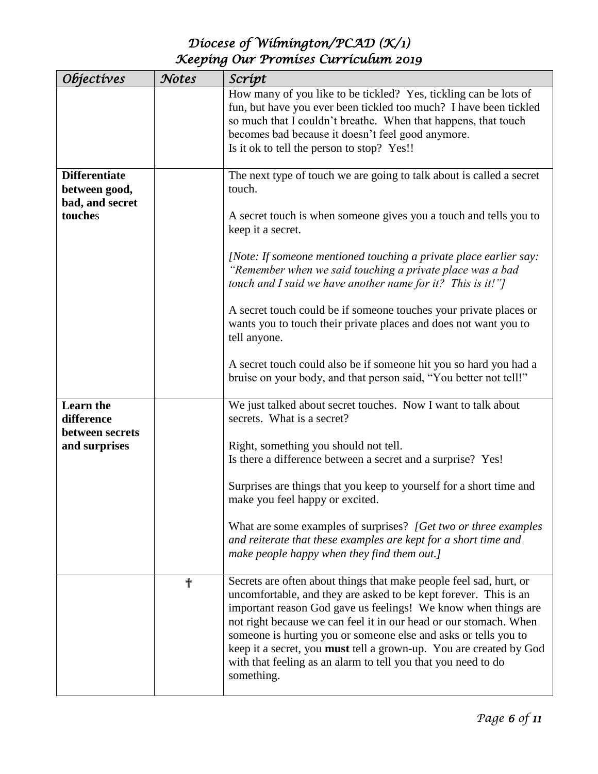| Objectives                                               | Notes | Scrípt                                                                                                                                                                                                                                                                                                                                                                                                                                                                                                |
|----------------------------------------------------------|-------|-------------------------------------------------------------------------------------------------------------------------------------------------------------------------------------------------------------------------------------------------------------------------------------------------------------------------------------------------------------------------------------------------------------------------------------------------------------------------------------------------------|
|                                                          |       | How many of you like to be tickled? Yes, tickling can be lots of<br>fun, but have you ever been tickled too much? I have been tickled<br>so much that I couldn't breathe. When that happens, that touch<br>becomes bad because it doesn't feel good anymore.<br>Is it ok to tell the person to stop? Yes!!                                                                                                                                                                                            |
| <b>Differentiate</b><br>between good,<br>bad, and secret |       | The next type of touch we are going to talk about is called a secret<br>touch.                                                                                                                                                                                                                                                                                                                                                                                                                        |
| touches                                                  |       | A secret touch is when someone gives you a touch and tells you to<br>keep it a secret.                                                                                                                                                                                                                                                                                                                                                                                                                |
|                                                          |       | [Note: If someone mentioned touching a private place earlier say:<br>"Remember when we said touching a private place was a bad<br>touch and I said we have another name for it? This is it!"]                                                                                                                                                                                                                                                                                                         |
|                                                          |       | A secret touch could be if someone touches your private places or<br>wants you to touch their private places and does not want you to<br>tell anyone.                                                                                                                                                                                                                                                                                                                                                 |
|                                                          |       | A secret touch could also be if someone hit you so hard you had a<br>bruise on your body, and that person said, "You better not tell!"                                                                                                                                                                                                                                                                                                                                                                |
| <b>Learn</b> the<br>difference<br>between secrets        |       | We just talked about secret touches. Now I want to talk about<br>secrets. What is a secret?                                                                                                                                                                                                                                                                                                                                                                                                           |
| and surprises                                            |       | Right, something you should not tell.<br>Is there a difference between a secret and a surprise? Yes!                                                                                                                                                                                                                                                                                                                                                                                                  |
|                                                          |       | Surprises are things that you keep to yourself for a short time and<br>make you feel happy or excited.                                                                                                                                                                                                                                                                                                                                                                                                |
|                                                          |       | What are some examples of surprises? [Get two or three examples]<br>and reiterate that these examples are kept for a short time and<br>make people happy when they find them out.]                                                                                                                                                                                                                                                                                                                    |
|                                                          | ╬     | Secrets are often about things that make people feel sad, hurt, or<br>uncomfortable, and they are asked to be kept forever. This is an<br>important reason God gave us feelings! We know when things are<br>not right because we can feel it in our head or our stomach. When<br>someone is hurting you or someone else and asks or tells you to<br>keep it a secret, you must tell a grown-up. You are created by God<br>with that feeling as an alarm to tell you that you need to do<br>something. |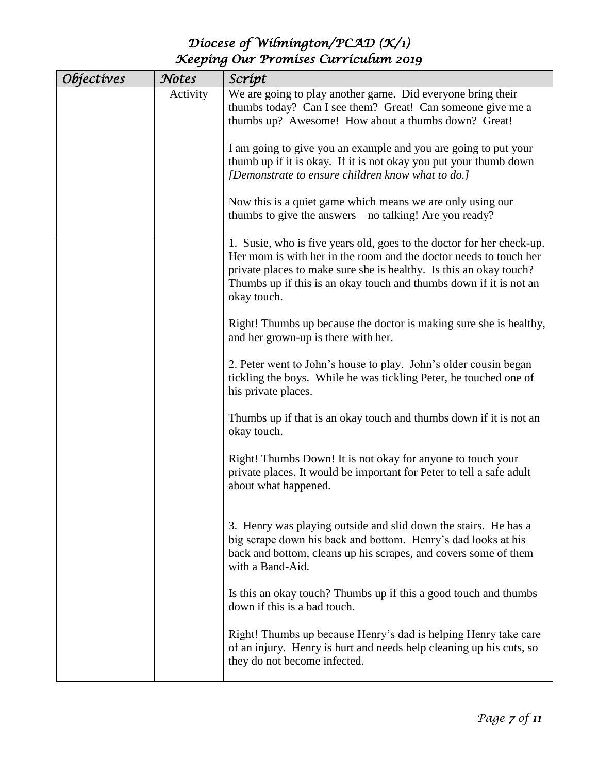| <i><b>Objectives</b></i> | Notes    | Scrípt                                                                                                    |
|--------------------------|----------|-----------------------------------------------------------------------------------------------------------|
|                          | Activity | We are going to play another game. Did everyone bring their                                               |
|                          |          | thumbs today? Can I see them? Great! Can someone give me a                                                |
|                          |          | thumbs up? Awesome! How about a thumbs down? Great!                                                       |
|                          |          |                                                                                                           |
|                          |          | I am going to give you an example and you are going to put your                                           |
|                          |          | thumb up if it is okay. If it is not okay you put your thumb down                                         |
|                          |          | [Demonstrate to ensure children know what to do.]                                                         |
|                          |          | Now this is a quiet game which means we are only using our                                                |
|                          |          | thumbs to give the answers – no talking! Are you ready?                                                   |
|                          |          |                                                                                                           |
|                          |          | 1. Susie, who is five years old, goes to the doctor for her check-up.                                     |
|                          |          | Her mom is with her in the room and the doctor needs to touch her                                         |
|                          |          | private places to make sure she is healthy. Is this an okay touch?                                        |
|                          |          | Thumbs up if this is an okay touch and thumbs down if it is not an                                        |
|                          |          | okay touch.                                                                                               |
|                          |          |                                                                                                           |
|                          |          | Right! Thumbs up because the doctor is making sure she is healthy,<br>and her grown-up is there with her. |
|                          |          |                                                                                                           |
|                          |          | 2. Peter went to John's house to play. John's older cousin began                                          |
|                          |          | tickling the boys. While he was tickling Peter, he touched one of                                         |
|                          |          | his private places.                                                                                       |
|                          |          |                                                                                                           |
|                          |          | Thumbs up if that is an okay touch and thumbs down if it is not an                                        |
|                          |          | okay touch.                                                                                               |
|                          |          | Right! Thumbs Down! It is not okay for anyone to touch your                                               |
|                          |          | private places. It would be important for Peter to tell a safe adult                                      |
|                          |          | about what happened.                                                                                      |
|                          |          |                                                                                                           |
|                          |          |                                                                                                           |
|                          |          | 3. Henry was playing outside and slid down the stairs. He has a                                           |
|                          |          | big scrape down his back and bottom. Henry's dad looks at his                                             |
|                          |          | back and bottom, cleans up his scrapes, and covers some of them                                           |
|                          |          | with a Band-Aid.                                                                                          |
|                          |          | Is this an okay touch? Thumbs up if this a good touch and thumbs                                          |
|                          |          | down if this is a bad touch.                                                                              |
|                          |          |                                                                                                           |
|                          |          | Right! Thumbs up because Henry's dad is helping Henry take care                                           |
|                          |          | of an injury. Henry is hurt and needs help cleaning up his cuts, so                                       |
|                          |          | they do not become infected.                                                                              |
|                          |          |                                                                                                           |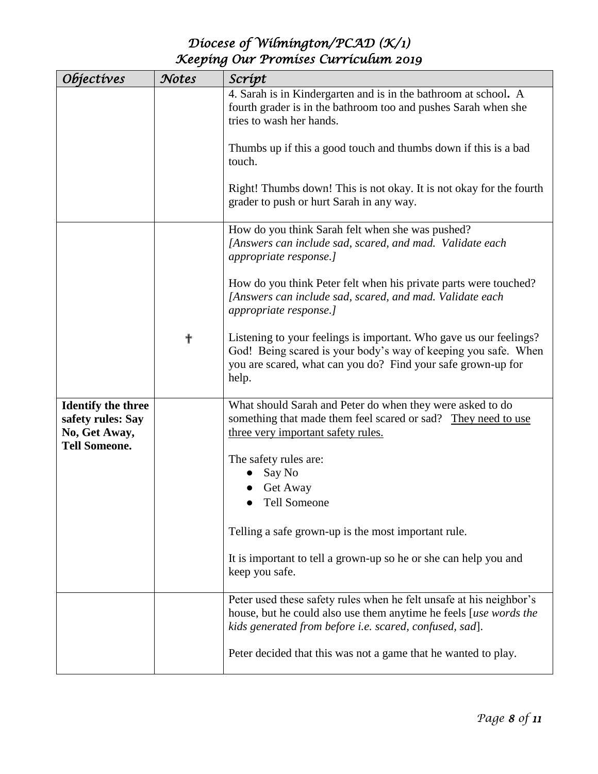| <i><b>Objectives</b></i>                       | Notes | Scrípt                                                                                                                                                                                                        |
|------------------------------------------------|-------|---------------------------------------------------------------------------------------------------------------------------------------------------------------------------------------------------------------|
|                                                |       | 4. Sarah is in Kindergarten and is in the bathroom at school. A<br>fourth grader is in the bathroom too and pushes Sarah when she                                                                             |
|                                                |       | tries to wash her hands.                                                                                                                                                                                      |
|                                                |       | Thumbs up if this a good touch and thumbs down if this is a bad<br>touch.                                                                                                                                     |
|                                                |       | Right! Thumbs down! This is not okay. It is not okay for the fourth<br>grader to push or hurt Sarah in any way.                                                                                               |
|                                                |       | How do you think Sarah felt when she was pushed?<br>[Answers can include sad, scared, and mad. Validate each<br>appropriate response.]                                                                        |
|                                                |       | How do you think Peter felt when his private parts were touched?<br>[Answers can include sad, scared, and mad. Validate each<br>appropriate response.]                                                        |
|                                                | ╋     | Listening to your feelings is important. Who gave us our feelings?<br>God! Being scared is your body's way of keeping you safe. When<br>you are scared, what can you do? Find your safe grown-up for<br>help. |
| <b>Identify the three</b><br>safety rules: Say |       | What should Sarah and Peter do when they were asked to do<br>something that made them feel scared or sad? They need to use                                                                                    |
| No, Get Away,<br><b>Tell Someone.</b>          |       | three very important safety rules.                                                                                                                                                                            |
|                                                |       | The safety rules are:                                                                                                                                                                                         |
|                                                |       | Say No                                                                                                                                                                                                        |
|                                                |       | Get Away<br><b>Tell Someone</b>                                                                                                                                                                               |
|                                                |       |                                                                                                                                                                                                               |
|                                                |       | Telling a safe grown-up is the most important rule.                                                                                                                                                           |
|                                                |       | It is important to tell a grown-up so he or she can help you and<br>keep you safe.                                                                                                                            |
|                                                |       | Peter used these safety rules when he felt unsafe at his neighbor's<br>house, but he could also use them anytime he feels [use words the<br>kids generated from before i.e. scared, confused, sad].           |
|                                                |       | Peter decided that this was not a game that he wanted to play.                                                                                                                                                |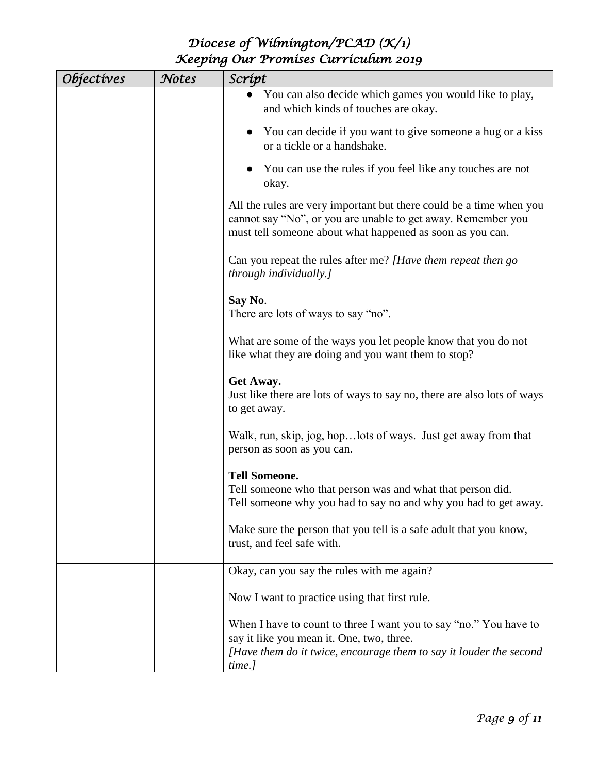| <i><b>Objectives</b></i> | Notes | Scrípt                                                                                                                                                                                           |
|--------------------------|-------|--------------------------------------------------------------------------------------------------------------------------------------------------------------------------------------------------|
|                          |       | You can also decide which games you would like to play,<br>and which kinds of touches are okay.                                                                                                  |
|                          |       | You can decide if you want to give someone a hug or a kiss<br>or a tickle or a handshake.                                                                                                        |
|                          |       | You can use the rules if you feel like any touches are not<br>okay.                                                                                                                              |
|                          |       | All the rules are very important but there could be a time when you<br>cannot say "No", or you are unable to get away. Remember you<br>must tell someone about what happened as soon as you can. |
|                          |       | Can you repeat the rules after me? [Have them repeat then go<br>through individually.]                                                                                                           |
|                          |       | Say No.<br>There are lots of ways to say "no".                                                                                                                                                   |
|                          |       | What are some of the ways you let people know that you do not<br>like what they are doing and you want them to stop?                                                                             |
|                          |       | Get Away.<br>Just like there are lots of ways to say no, there are also lots of ways<br>to get away.                                                                                             |
|                          |       | Walk, run, skip, jog, hop lots of ways. Just get away from that<br>person as soon as you can.                                                                                                    |
|                          |       | <b>Tell Someone.</b><br>Tell someone who that person was and what that person did.<br>Tell someone why you had to say no and why you had to get away.                                            |
|                          |       | Make sure the person that you tell is a safe adult that you know,<br>trust, and feel safe with.                                                                                                  |
|                          |       | Okay, can you say the rules with me again?                                                                                                                                                       |
|                          |       | Now I want to practice using that first rule.                                                                                                                                                    |
|                          |       | When I have to count to three I want you to say "no." You have to<br>say it like you mean it. One, two, three.<br>[Have them do it twice, encourage them to say it louder the second             |
|                          |       | time.]                                                                                                                                                                                           |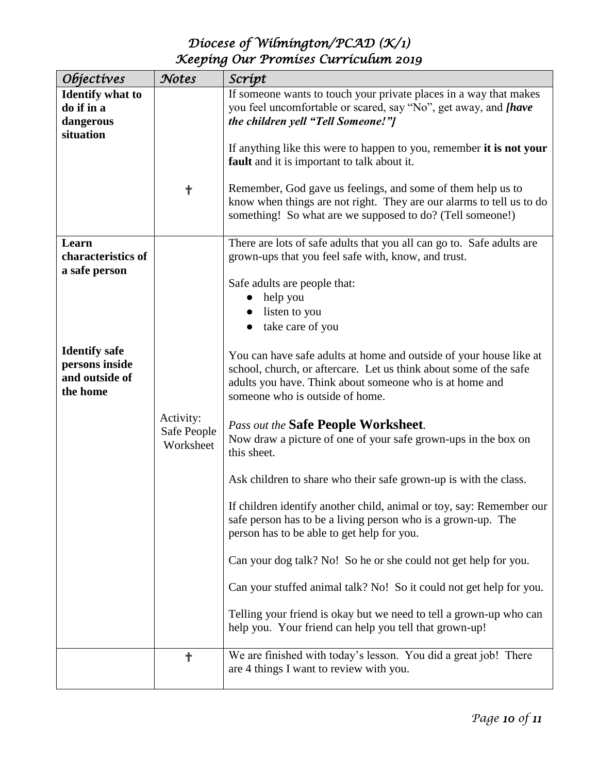| <i><b>Objectives</b></i> | Notes                    | Scrípt                                                                                                                       |
|--------------------------|--------------------------|------------------------------------------------------------------------------------------------------------------------------|
| <b>Identify what to</b>  |                          | If someone wants to touch your private places in a way that makes                                                            |
| do if in a               |                          | you feel uncomfortable or scared, say "No", get away, and [have                                                              |
| dangerous                |                          | the children yell "Tell Someone!"]                                                                                           |
| situation                |                          |                                                                                                                              |
|                          |                          | If anything like this were to happen to you, remember it is not your<br>fault and it is important to talk about it.          |
|                          |                          |                                                                                                                              |
|                          | ╉                        | Remember, God gave us feelings, and some of them help us to                                                                  |
|                          |                          | know when things are not right. They are our alarms to tell us to do                                                         |
|                          |                          | something! So what are we supposed to do? (Tell someone!)                                                                    |
| Learn                    |                          | There are lots of safe adults that you all can go to. Safe adults are                                                        |
| characteristics of       |                          | grown-ups that you feel safe with, know, and trust.                                                                          |
| a safe person            |                          |                                                                                                                              |
|                          |                          | Safe adults are people that:                                                                                                 |
|                          |                          | help you                                                                                                                     |
|                          |                          | listen to you                                                                                                                |
|                          |                          | take care of you                                                                                                             |
| <b>Identify safe</b>     |                          |                                                                                                                              |
| persons inside           |                          | You can have safe adults at home and outside of your house like at                                                           |
| and outside of           |                          | school, church, or aftercare. Let us think about some of the safe<br>adults you have. Think about someone who is at home and |
| the home                 |                          | someone who is outside of home.                                                                                              |
|                          |                          |                                                                                                                              |
|                          | Activity:<br>Safe People | Pass out the <b>Safe People Worksheet</b> .                                                                                  |
|                          | Worksheet                | Now draw a picture of one of your safe grown-ups in the box on                                                               |
|                          |                          | this sheet.                                                                                                                  |
|                          |                          | Ask children to share who their safe grown-up is with the class.                                                             |
|                          |                          |                                                                                                                              |
|                          |                          | If children identify another child, animal or toy, say: Remember our                                                         |
|                          |                          | safe person has to be a living person who is a grown-up. The                                                                 |
|                          |                          | person has to be able to get help for you.                                                                                   |
|                          |                          | Can your dog talk? No! So he or she could not get help for you.                                                              |
|                          |                          |                                                                                                                              |
|                          |                          | Can your stuffed animal talk? No! So it could not get help for you.                                                          |
|                          |                          | Telling your friend is okay but we need to tell a grown-up who can                                                           |
|                          |                          | help you. Your friend can help you tell that grown-up!                                                                       |
|                          |                          |                                                                                                                              |
|                          | ╬                        | We are finished with today's lesson. You did a great job! There                                                              |
|                          |                          | are 4 things I want to review with you.                                                                                      |
|                          |                          |                                                                                                                              |